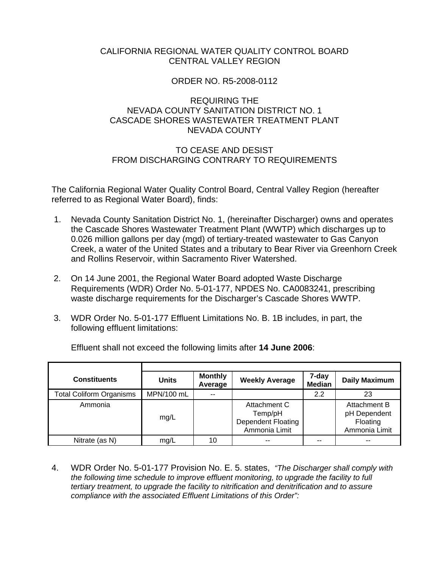# CALIFORNIA REGIONAL WATER QUALITY CONTROL BOARD CENTRAL VALLEY REGION

# ORDER NO. R5-2008-0112

# REQUIRING THE NEVADA COUNTY SANITATION DISTRICT NO. 1 CASCADE SHORES WASTEWATER TREATMENT PLANT NEVADA COUNTY

# TO CEASE AND DESIST FROM DISCHARGING CONTRARY TO REQUIREMENTS

The California Regional Water Quality Control Board, Central Valley Region (hereafter referred to as Regional Water Board), finds:

- 1. Nevada County Sanitation District No. 1, (hereinafter Discharger) owns and operates the Cascade Shores Wastewater Treatment Plant (WWTP) which discharges up to 0.026 million gallons per day (mgd) of tertiary-treated wastewater to Gas Canyon Creek, a water of the United States and a tributary to Bear River via Greenhorn Creek and Rollins Reservoir, within Sacramento River Watershed.
- 2. On 14 June 2001, the Regional Water Board adopted Waste Discharge Requirements (WDR) Order No. 5-01-177, NPDES No. CA0083241, prescribing waste discharge requirements for the Discharger's Cascade Shores WWTP.
- 3. WDR Order No. 5-01-177 Effluent Limitations No. B. 1B includes, in part, the following effluent limitations:

| <b>Constituents</b>             | <b>Units</b> | <b>Monthly</b><br>Average | <b>Weekly Average</b>                                                 | 7-day<br><b>Median</b> | <b>Daily Maximum</b>                                      |
|---------------------------------|--------------|---------------------------|-----------------------------------------------------------------------|------------------------|-----------------------------------------------------------|
| <b>Total Coliform Organisms</b> | MPN/100 mL   | --                        |                                                                       | 2.2                    | 23                                                        |
| Ammonia                         | mg/L         |                           | Attachment C<br>Temp/pH<br><b>Dependent Floating</b><br>Ammonia Limit |                        | Attachment B<br>pH Dependent<br>Floating<br>Ammonia Limit |
| Nitrate (as N)                  | mg/L         | 10                        | $- -$                                                                 | --                     | $- -$                                                     |

Effluent shall not exceed the following limits after **14 June 2006**:

4. WDR Order No. 5-01-177 Provision No. E. 5. states, *"The Discharger shall comply with the following time schedule to improve effluent monitoring, to upgrade the facility to full tertiary treatment, to upgrade the facility to nitrification and denitrification and to assure compliance with the associated Effluent Limitations of this Order":*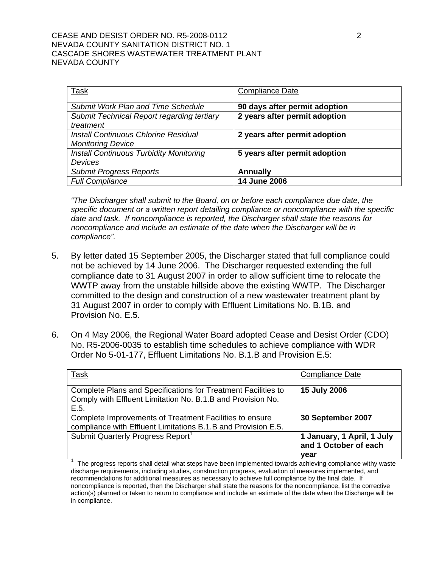## CEASE AND DESIST ORDER NO. R5-2008-0112 2 NEVADA COUNTY SANITATION DISTRICT NO. 1 CASCADE SHORES WASTEWATER TREATMENT PLANT NEVADA COUNTY

| Task                                           | <b>Compliance Date</b>        |
|------------------------------------------------|-------------------------------|
| <b>Submit Work Plan and Time Schedule</b>      | 90 days after permit adoption |
| Submit Technical Report regarding tertiary     | 2 years after permit adoption |
| treatment                                      |                               |
| Install Continuous Chlorine Residual           | 2 years after permit adoption |
| <b>Monitoring Device</b>                       |                               |
| <b>Install Continuous Turbidity Monitoring</b> | 5 years after permit adoption |
| Devices                                        |                               |
| <b>Submit Progress Reports</b>                 | <b>Annually</b>               |
| <b>Full Compliance</b>                         | <b>14 June 2006</b>           |

*"The Discharger shall submit to the Board, on or before each compliance due date, the specific document or a written report detailing compliance or noncompliance with the specific date and task. If noncompliance is reported, the Discharger shall state the reasons for noncompliance and include an estimate of the date when the Discharger will be in compliance".*

- 5. By letter dated 15 September 2005, the Discharger stated that full compliance could not be achieved by 14 June 2006. The Discharger requested extending the full compliance date to 31 August 2007 in order to allow sufficient time to relocate the WWTP away from the unstable hillside above the existing WWTP. The Discharger committed to the design and construction of a new wastewater treatment plant by 31 August 2007 in order to comply with Effluent Limitations No. B.1B. and Provision No. E.5.
- 6. On 4 May 2006, the Regional Water Board adopted Cease and Desist Order (CDO) No. R5-2006-0035 to establish time schedules to achieve compliance with WDR Order No 5-01-177, Effluent Limitations No. B.1.B and Provision E.5:

| Task                                                                                                                                 | <b>Compliance Date</b>                                      |
|--------------------------------------------------------------------------------------------------------------------------------------|-------------------------------------------------------------|
| Complete Plans and Specifications for Treatment Facilities to<br>Comply with Effluent Limitation No. B.1.B and Provision No.<br>E.5. | <b>15 July 2006</b>                                         |
| Complete Improvements of Treatment Facilities to ensure<br>compliance with Effluent Limitations B.1.B and Provision E.5.             | 30 September 2007                                           |
| Submit Quarterly Progress Report <sup>1</sup>                                                                                        | 1 January, 1 April, 1 July<br>and 1 October of each<br>vear |

<sup>1</sup> The progress reports shall detail what steps have been implemented towards achieving compliance withy waste discharge requirements, including studies, construction progress, evaluation of measures implemented, and recommendations for additional measures as necessary to achieve full compliance by the final date. If noncompliance is reported, then the Discharger shall state the reasons for the noncompliance, list the corrective action(s) planned or taken to return to compliance and include an estimate of the date when the Discharge will be in compliance.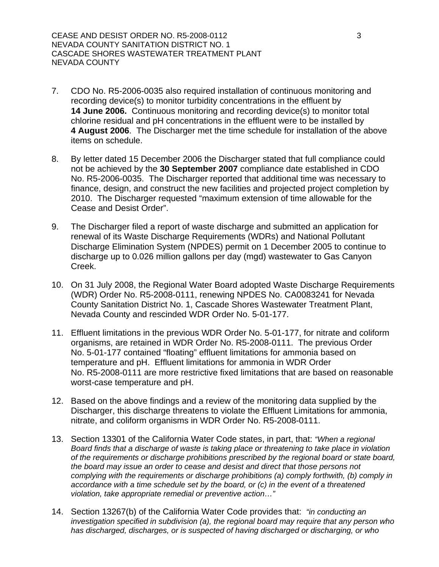- 7. CDO No. R5-2006-0035 also required installation of continuous monitoring and recording device(s) to monitor turbidity concentrations in the effluent by **14 June 2006.** Continuous monitoring and recording device(s) to monitor total chlorine residual and pH concentrations in the effluent were to be installed by **4 August 2006**. The Discharger met the time schedule for installation of the above items on schedule.
- 8. By letter dated 15 December 2006 the Discharger stated that full compliance could not be achieved by the **30 September 2007** compliance date established in CDO No. R5-2006-0035. The Discharger reported that additional time was necessary to finance, design, and construct the new facilities and projected project completion by 2010. The Discharger requested "maximum extension of time allowable for the Cease and Desist Order".
- 9. The Discharger filed a report of waste discharge and submitted an application for renewal of its Waste Discharge Requirements (WDRs) and National Pollutant Discharge Elimination System (NPDES) permit on 1 December 2005 to continue to discharge up to 0.026 million gallons per day (mgd) wastewater to Gas Canyon Creek.
- 10. On 31 July 2008, the Regional Water Board adopted Waste Discharge Requirements (WDR) Order No. R5-2008-0111, renewing NPDES No. CA0083241 for Nevada County Sanitation District No. 1, Cascade Shores Wastewater Treatment Plant, Nevada County and rescinded WDR Order No. 5-01-177.
- 11. Effluent limitations in the previous WDR Order No. 5-01-177, for nitrate and coliform organisms, are retained in WDR Order No. R5-2008-0111. The previous Order No. 5-01-177 contained "floating" effluent limitations for ammonia based on temperature and pH. Effluent limitations for ammonia in WDR Order No. R5-2008-0111 are more restrictive fixed limitations that are based on reasonable worst-case temperature and pH.
- 12. Based on the above findings and a review of the monitoring data supplied by the Discharger, this discharge threatens to violate the Effluent Limitations for ammonia, nitrate, and coliform organisms in WDR Order No. R5-2008-0111.
- 13. Section 13301 of the California Water Code states, in part, that: *"When a regional Board finds that a discharge of waste is taking place or threatening to take place in violation of the requirements or discharge prohibitions prescribed by the regional board or state board, the board may issue an order to cease and desist and direct that those persons not complying with the requirements or discharge prohibitions (a) comply forthwith, (b) comply in accordance with a time schedule set by the board, or (c) in the event of a threatened violation, take appropriate remedial or preventive action…"*
- 14. Section 13267(b) of the California Water Code provides that: *"in conducting an investigation specified in subdivision (a), the regional board may require that any person who has discharged, discharges, or is suspected of having discharged or discharging, or who*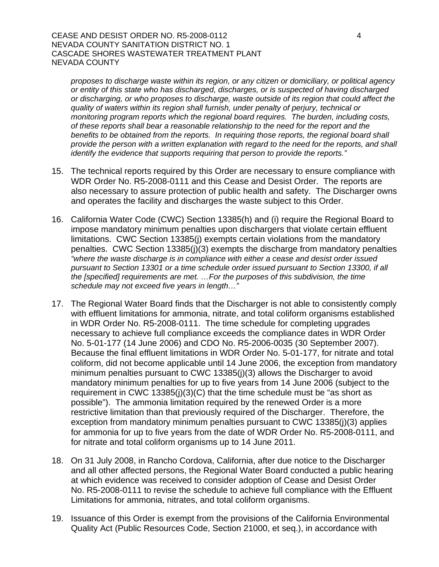### CEASE AND DESIST ORDER NO. R5-2008-0112 4 NEVADA COUNTY SANITATION DISTRICT NO. 1 CASCADE SHORES WASTEWATER TREATMENT PLANT NEVADA COUNTY

*proposes to discharge waste within its region, or any citizen or domiciliary, or political agency or entity of this state who has discharged, discharges, or is suspected of having discharged or discharging, or who proposes to discharge, waste outside of its region that could affect the quality of waters within its region shall furnish, under penalty of perjury, technical or monitoring program reports which the regional board requires. The burden, including costs, of these reports shall bear a reasonable relationship to the need for the report and the benefits to be obtained from the reports. In requiring those reports, the regional board shall provide the person with a written explanation with regard to the need for the reports, and shall identify the evidence that supports requiring that person to provide the reports."*

- 15. The technical reports required by this Order are necessary to ensure compliance with WDR Order No. R5-2008-0111 and this Cease and Desist Order. The reports are also necessary to assure protection of public health and safety. The Discharger owns and operates the facility and discharges the waste subject to this Order.
- 16. California Water Code (CWC) Section 13385(h) and (i) require the Regional Board to impose mandatory minimum penalties upon dischargers that violate certain effluent limitations. CWC Section 13385(j) exempts certain violations from the mandatory penalties. CWC Section 13385(j)(3) exempts the discharge from mandatory penalties *"where the waste discharge is in compliance with either a cease and desist order issued pursuant to Section 13301 or a time schedule order issued pursuant to Section 13300, if all the [specified] requirements are met. …For the purposes of this subdivision, the time schedule may not exceed five years in length…"*
- 17. The Regional Water Board finds that the Discharger is not able to consistently comply with effluent limitations for ammonia, nitrate, and total coliform organisms established in WDR Order No. R5-2008-0111. The time schedule for completing upgrades necessary to achieve full compliance exceeds the compliance dates in WDR Order No. 5-01-177 (14 June 2006) and CDO No. R5-2006-0035 (30 September 2007). Because the final effluent limitations in WDR Order No. 5-01-177, for nitrate and total coliform, did not become applicable until 14 June 2006, the exception from mandatory minimum penalties pursuant to CWC 13385(j)(3) allows the Discharger to avoid mandatory minimum penalties for up to five years from 14 June 2006 (subject to the requirement in CWC 13385(j)(3)(C) that the time schedule must be "as short as possible"). The ammonia limitation required by the renewed Order is a more restrictive limitation than that previously required of the Discharger. Therefore, the exception from mandatory minimum penalties pursuant to CWC 13385(j)(3) applies for ammonia for up to five years from the date of WDR Order No. R5-2008-0111, and for nitrate and total coliform organisms up to 14 June 2011.
- 18. On 31 July 2008, in Rancho Cordova, California, after due notice to the Discharger and all other affected persons, the Regional Water Board conducted a public hearing at which evidence was received to consider adoption of Cease and Desist Order No. R5-2008-0111 to revise the schedule to achieve full compliance with the Effluent Limitations for ammonia, nitrates, and total coliform organisms.
- 19. Issuance of this Order is exempt from the provisions of the California Environmental Quality Act (Public Resources Code, Section 21000, et seq.), in accordance with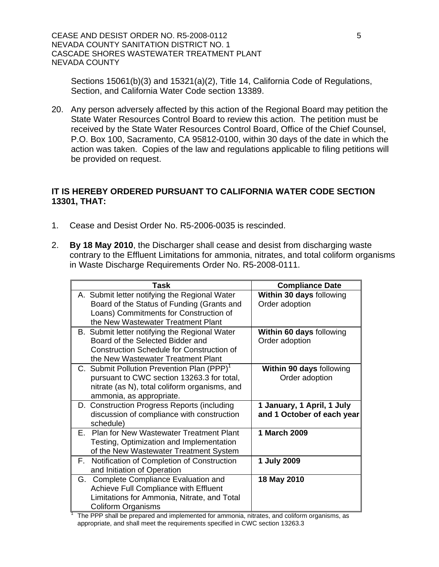CEASE AND DESIST ORDER NO. R5-2008-0112 NEVADA COUNTY SANITATION DISTRICT NO. 1 CASCADE SHORES WASTEWATER TREATMENT PLANT NEVADA COUNTY

Sections 15061(b)(3) and 15321(a)(2), Title 14, California Code of Regulations, Section, and California Water Code section 13389.

20. Any person adversely affected by this action of the Regional Board may petition the State Water Resources Control Board to review this action. The petition must be received by the State Water Resources Control Board, Office of the Chief Counsel, P.O. Box 100, Sacramento, CA 95812-0100, within 30 days of the date in which the action was taken. Copies of the law and regulations applicable to filing petitions will be provided on request.

# **IT IS HEREBY ORDERED PURSUANT TO CALIFORNIA WATER CODE SECTION 13301, THAT:**

- 1. Cease and Desist Order No. R5-2006-0035 is rescinded.
- 2. **By 18 May 2010**, the Discharger shall cease and desist from discharging waste contrary to the Effluent Limitations for ammonia, nitrates, and total coliform organisms in Waste Discharge Requirements Order No. R5-2008-0111.

| Task                                                   | <b>Compliance Date</b>     |
|--------------------------------------------------------|----------------------------|
| A. Submit letter notifying the Regional Water          | Within 30 days following   |
| Board of the Status of Funding (Grants and             | Order adoption             |
| Loans) Commitments for Construction of                 |                            |
| the New Wastewater Treatment Plant                     |                            |
| B. Submit letter notifying the Regional Water          | Within 60 days following   |
| Board of the Selected Bidder and                       | Order adoption             |
| <b>Construction Schedule for Construction of</b>       |                            |
| the New Wastewater Treatment Plant                     |                            |
| C. Submit Pollution Prevention Plan (PPP) <sup>1</sup> | Within 90 days following   |
| pursuant to CWC section 13263.3 for total,             | Order adoption             |
| nitrate (as N), total coliform organisms, and          |                            |
| ammonia, as appropriate.                               |                            |
| D. Construction Progress Reports (including            | 1 January, 1 April, 1 July |
| discussion of compliance with construction             | and 1 October of each year |
| schedule)                                              |                            |
| E. Plan for New Wastewater Treatment Plant             | 1 March 2009               |
| Testing, Optimization and Implementation               |                            |
| of the New Wastewater Treatment System                 |                            |
| Notification of Completion of Construction<br>F.       | 1 July 2009                |
| and Initiation of Operation                            |                            |
| G. Complete Compliance Evaluation and                  | 18 May 2010                |
| Achieve Full Compliance with Effluent                  |                            |
| Limitations for Ammonia, Nitrate, and Total            |                            |
| <b>Coliform Organisms</b>                              |                            |

 The PPP shall be prepared and implemented for ammonia, nitrates, and coliform organisms, as appropriate, and shall meet the requirements specified in CWC section 13263.3

1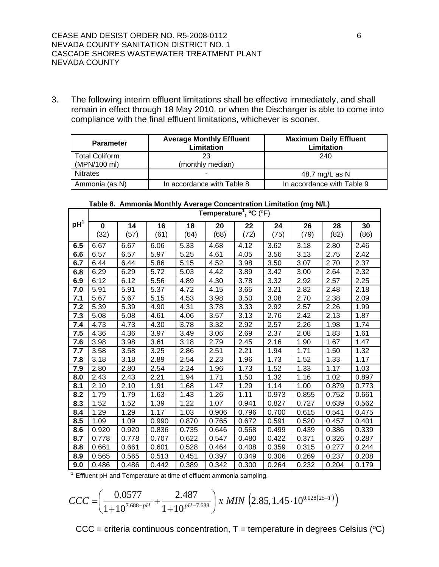3. The following interim effluent limitations shall be effective immediately, and shall remain in effect through 18 May 2010, or when the Discharger is able to come into compliance with the final effluent limitations, whichever is sooner.

| <b>Parameter</b>                      | <b>Average Monthly Effluent</b><br><b>Limitation</b> | <b>Maximum Daily Effluent</b><br>Limitation |  |  |
|---------------------------------------|------------------------------------------------------|---------------------------------------------|--|--|
| <b>Total Coliform</b><br>(MPN/100 ml) | 23<br>(monthly median)                               | 240                                         |  |  |
| <b>Nitrates</b>                       |                                                      | 48.7 mg/L as N                              |  |  |
| Ammonia (as N)                        | In accordance with Table 8                           | In accordance with Table 9                  |  |  |

### **Table 8. Ammonia Monthly Average Concentration Limitation (mg N/L)**

|                 | Temperature <sup>1</sup> , $^{\circ}$ C ( $^{\circ}$ F) |       |       |       |       |       |       |       |       |       |
|-----------------|---------------------------------------------------------|-------|-------|-------|-------|-------|-------|-------|-------|-------|
| pH <sup>1</sup> | $\bf{0}$                                                | 14    | 16    | 18    | 20    | 22    | 24    | 26    | 28    | 30    |
|                 | (32)                                                    | (57)  | (61)  | (64)  | (68)  | (72)  | (75)  | (79)  | (82)  | (86)  |
| 6.5             | 6.67                                                    | 6.67  | 6.06  | 5.33  | 4.68  | 4.12  | 3.62  | 3.18  | 2.80  | 2.46  |
| 6.6             | 6.57                                                    | 6.57  | 5.97  | 5.25  | 4.61  | 4.05  | 3.56  | 3.13  | 2.75  | 2.42  |
| 6.7             | 6.44                                                    | 6.44  | 5.86  | 5.15  | 4.52  | 3.98  | 3.50  | 3.07  | 2.70  | 2.37  |
| 6.8             | 6.29                                                    | 6.29  | 5.72  | 5.03  | 4.42  | 3.89  | 3.42  | 3.00  | 2.64  | 2.32  |
| 6.9             | 6.12                                                    | 6.12  | 5.56  | 4.89  | 4.30  | 3.78  | 3.32  | 2.92  | 2.57  | 2.25  |
| 7.0             | 5.91                                                    | 5.91  | 5.37  | 4.72  | 4.15  | 3.65  | 3.21  | 2.82  | 2.48  | 2.18  |
| 7.1             | 5.67                                                    | 5.67  | 5.15  | 4.53  | 3.98  | 3.50  | 3.08  | 2.70  | 2.38  | 2.09  |
| 7.2             | 5.39                                                    | 5.39  | 4.90  | 4.31  | 3.78  | 3.33  | 2.92  | 2.57  | 2.26  | 1.99  |
| 7.3             | 5.08                                                    | 5.08  | 4.61  | 4.06  | 3.57  | 3.13  | 2.76  | 2.42  | 2.13  | 1.87  |
| 7.4             | 4.73                                                    | 4.73  | 4.30  | 3.78  | 3.32  | 2.92  | 2.57  | 2.26  | 1.98  | 1.74  |
| 7.5             | 4.36                                                    | 4.36  | 3.97  | 3.49  | 3.06  | 2.69  | 2.37  | 2.08  | 1.83  | 1.61  |
| 7.6             | 3.98                                                    | 3.98  | 3.61  | 3.18  | 2.79  | 2.45  | 2.16  | 1.90  | 1.67  | 1.47  |
| 7.7             | 3.58                                                    | 3.58  | 3.25  | 2.86  | 2.51  | 2.21  | 1.94  | 1.71  | 1.50  | 1.32  |
| 7.8             | 3.18                                                    | 3.18  | 2.89  | 2.54  | 2.23  | 1.96  | 1.73  | 1.52  | 1.33  | 1.17  |
| 7.9             | 2.80                                                    | 2.80  | 2.54  | 2.24  | 1.96  | 1.73  | 1.52  | 1.33  | 1.17  | 1.03  |
| 8.0             | 2.43                                                    | 2.43  | 2.21  | 1.94  | 1.71  | 1.50  | 1.32  | 1.16  | 1.02  | 0.897 |
| 8.1             | 2.10                                                    | 2.10  | 1.91  | 1.68  | 1.47  | 1.29  | 1.14  | 1.00  | 0.879 | 0.773 |
| 8.2             | 1.79                                                    | 1.79  | 1.63  | 1.43  | 1.26  | 1.11  | 0.973 | 0.855 | 0.752 | 0.661 |
| 8.3             | 1.52                                                    | 1.52  | 1.39  | 1.22  | 1.07  | 0.941 | 0.827 | 0.727 | 0.639 | 0.562 |
| 8.4             | 1.29                                                    | 1.29  | 1.17  | 1.03  | 0.906 | 0.796 | 0.700 | 0.615 | 0.541 | 0.475 |
| 8.5             | 1.09                                                    | 1.09  | 0.990 | 0.870 | 0.765 | 0.672 | 0.591 | 0.520 | 0.457 | 0.401 |
| 8.6             | 0.920                                                   | 0.920 | 0.836 | 0.735 | 0.646 | 0.568 | 0.499 | 0.439 | 0.386 | 0.339 |
| 8.7             | 0.778                                                   | 0.778 | 0.707 | 0.622 | 0.547 | 0.480 | 0.422 | 0.371 | 0.326 | 0.287 |
| 8.8             | 0.661                                                   | 0.661 | 0.601 | 0.528 | 0.464 | 0.408 | 0.359 | 0.315 | 0.277 | 0.244 |
| 8.9             | 0.565                                                   | 0.565 | 0.513 | 0.451 | 0.397 | 0.349 | 0.306 | 0.269 | 0.237 | 0.208 |
| 9.0             | 0.486                                                   | 0.486 | 0.442 | 0.389 | 0.342 | 0.300 | 0.264 | 0.232 | 0.204 | 0.179 |

 $1$  Effluent pH and Temperature at time of effluent ammonia sampling.

$$
CCC = \left(\frac{0.0577}{1+10^{7.688-pH}} + \frac{2.487}{1+10^{pH-7.688}}\right) x \ MIN \left(2.85, 1.45 \cdot 10^{0.028(25-T)}\right)
$$

 $CCC =$  criteria continuous concentration,  $T =$  temperature in degrees Celsius ( $°C$ )